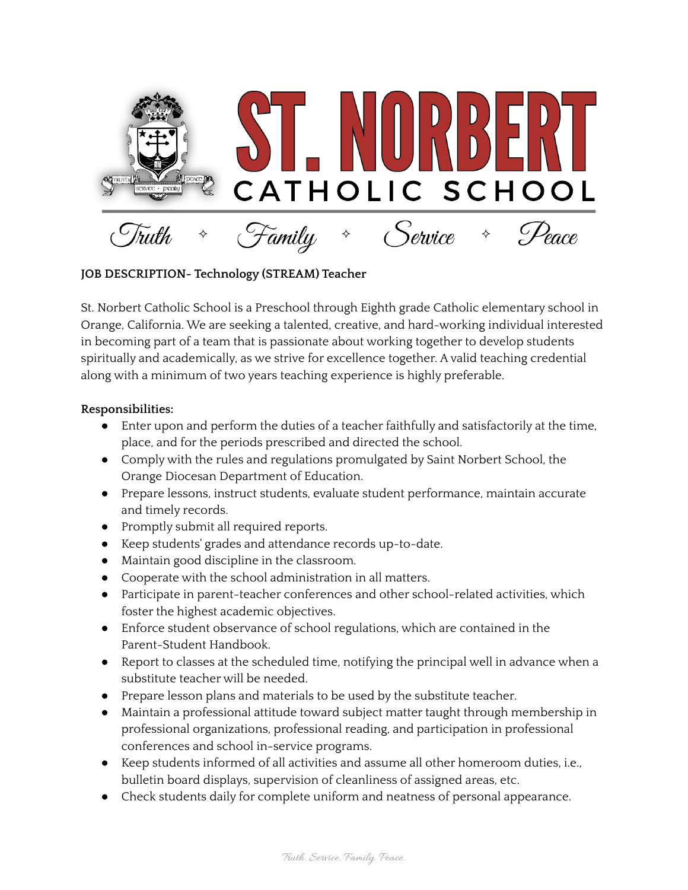

## **JOB DESCRIPTION- Technology (STREAM) Teacher**

St. Norbert Catholic School is a Preschool through Eighth grade Catholic elementary school in Orange, California. We are seeking a talented, creative, and hard-working individual interested in becoming part of a team that is passionate about working together to develop students spiritually and academically, as we strive for excellence together. A valid teaching credential along with a minimum of two years teaching experience is highly preferable.

## **Responsibilities:**

- Enter upon and perform the duties of a teacher faithfully and satisfactorily at the time, place, and for the periods prescribed and directed the school.
- Comply with the rules and regulations promulgated by Saint Norbert School, the Orange Diocesan Department of Education.
- Prepare lessons, instruct students, evaluate student performance, maintain accurate and timely records.
- Promptly submit all required reports.
- Keep students' grades and attendance records up-to-date.
- Maintain good discipline in the classroom.
- Cooperate with the school administration in all matters.
- Participate in parent-teacher conferences and other school-related activities, which foster the highest academic objectives.
- Enforce student observance of school regulations, which are contained in the Parent-Student Handbook.
- Report to classes at the scheduled time, notifying the principal well in advance when a substitute teacher will be needed.
- Prepare lesson plans and materials to be used by the substitute teacher.
- Maintain a professional attitude toward subject matter taught through membership in professional organizations, professional reading, and participation in professional conferences and school in-service programs.
- Keep students informed of all activities and assume all other homeroom duties, i.e., bulletin board displays, supervision of cleanliness of assigned areas, etc.
- Check students daily for complete uniform and neatness of personal appearance.